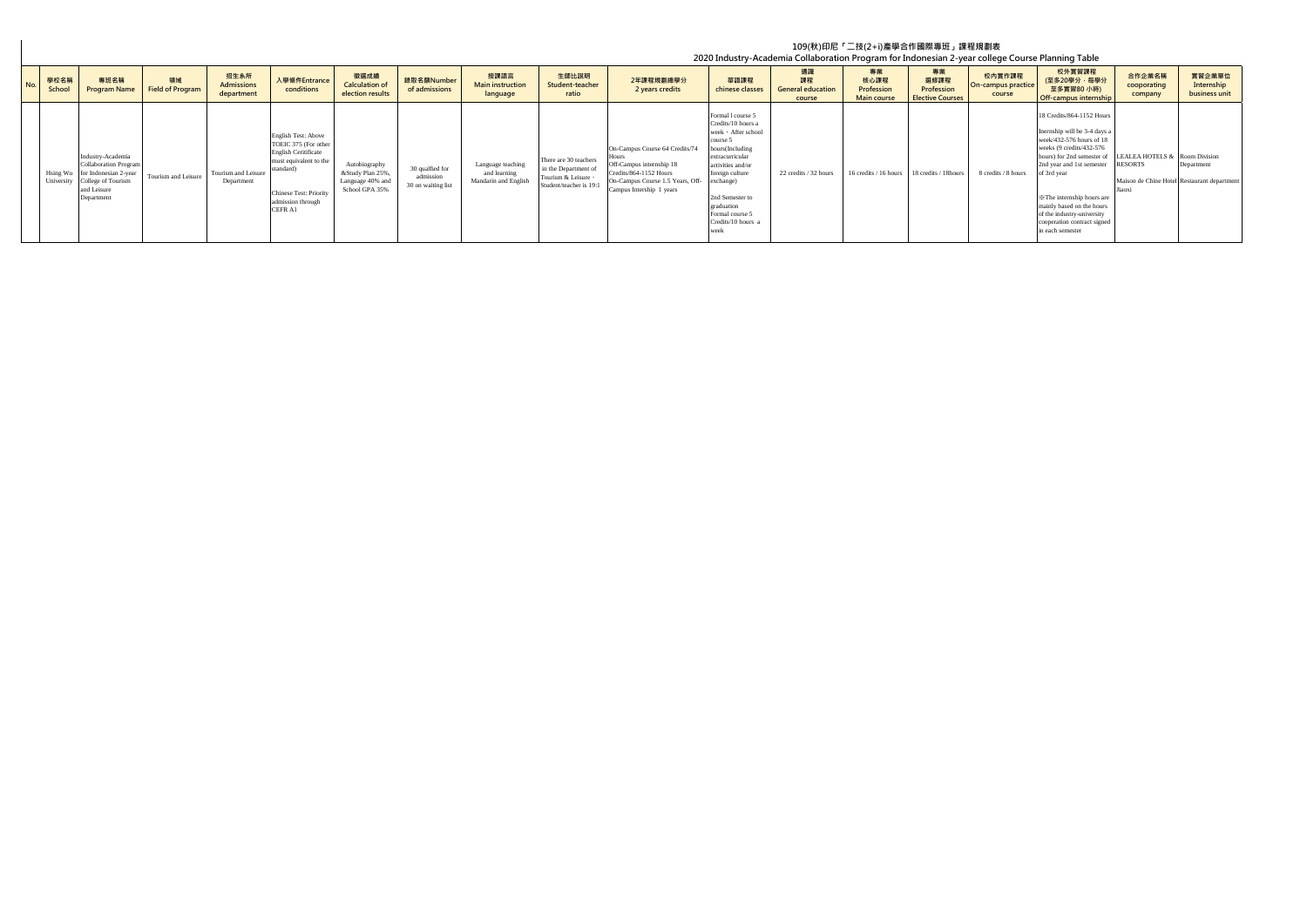## **No. 學校名稱 School 專班名稱 Program Name 領域 Field of Program 招生系所 Admissions department 入學條件Entrance conditions 徵選成績 Calculation of election results 錄取名額Number of admissions 授課語言 Main instruction language 生師比說明** Student-teacher **ratio 2年課程規劃總學分 2 years credits 華語課程 chinese classes 通識 課程 General education course 專業 核心課程 Profession Main course 專業 選修課程 Profession Elective Course 校內實作課程 On-campus practice course 校外實習課程 (至多20學分,每學分 至多實習80 小時) Off-campus internship 合作企業名稱 cooporating company 實習企業單位 Internship business unit** Hsing Wu University ndustry-Academia Collaboration Program for Indonesian 2-year College of Tourism and Leisure Department Tourism and Leisure Tourism and Leisure Department English Test: Above TOEIC 375 (For other English Ceritificate mgnsn economicate<br>nust equivalent to the tandard) Chinese Test: Priority admission through CEFR A1 Autobiography &Study Plan 25%, Language 40% and School GPA 35% 30 qualfied for admission 30 on waiting list Language teaching and learning Mandarin and English There are 30 teachers in the Department of<br>Tourism & Leisure, Student/teacher is 19:1 On-Campus Course 64 Credits/74 Hours Off-Campus internship 18 Credits/864-1152 Hours On-Campus Course 1.5 Years, Off-Campus Intership 1 years Formal l course 5 Credits/10 hours a week, After school course 5 hours(Including extracurricular activities and/or foreign culture exchange) 2nd Semester to graduation Formal course 5 Credits/10 hours a week 22 credits / 32 hours 16 credits / 16 hours 18 credits / 18 hours 8 credits / 8 hours 18 Credits/864-1152 Hour Inernship will be 3-4 days a week/432-576 hours of 18 weeks (9 credits/432-576 hours) for 2nd semester of 2nd year and 1st semester of 3rd year ※The internship hours are mainly based on the hours of the industry-university cooperation contract signed in each semester LEALEA HOTELS & RESORTS Maison de Chine Hotel Jiaoxi Room Division Department t depar **109(秋)印尼「二技(2+i)產學合作國際專班」課程規劃表 2020 Industry-Academia Collaboration Program for Indonesian 2-year college Course Planning Table**